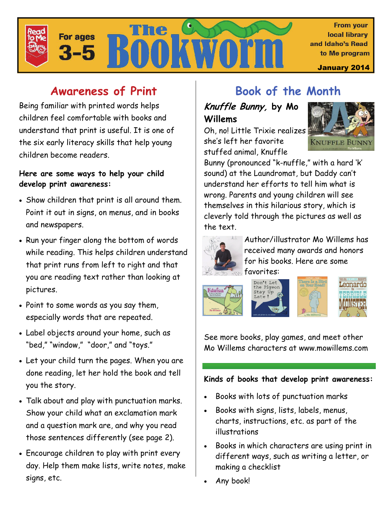

## **Awareness of Print**

Being familiar with printed words helps children feel comfortable with books and understand that print is useful. It is one of the six early literacy skills that help young children become readers.

#### **Here are some ways to help your child develop print awareness:**

- Show children that print is all around them. Point it out in signs, on menus, and in books and newspapers.
- Run your finger along the bottom of words while reading. This helps children understand that print runs from left to right and that you are reading text rather than looking at pictures.
- Point to some words as you say them, especially words that are repeated.
- Label objects around your home, such as "bed," "window," "door," and "toys."
- Let your child turn the pages. When you are done reading, let her hold the book and tell you the story.
- Talk about and play with punctuation marks. Show your child what an exclamation mark and a question mark are, and why you read those sentences differently (see page 2).
- Encourage children to play with print every day. Help them make lists, write notes, make signs, etc.

## **Book of the Month**

### **Knuffle Bunny, by Mo Willems**

Oh, no! Little Trixie realizes she's left her favorite stuffed animal, Knuffle



Bunny (pronounced "k-nuffle," with a hard 'k' sound) at the Laundromat, but Daddy can't understand her efforts to tell him what is wrong. Parents and young children will see themselves in this hilarious story, which is cleverly told through the pictures as well as the text.



Author/illustrator Mo Willems has received many awards and honors for his books. Here are some favorites:









See more books, play games, and meet other Mo Willems characters at www.mowillems.com

#### **Kinds of books that develop print awareness:**

- Books with lots of punctuation marks
- Books with signs, lists, labels, menus, charts, instructions, etc. as part of the illustrations
- Books in which characters are using print in different ways, such as writing a letter, or making a checklist
- Any book!